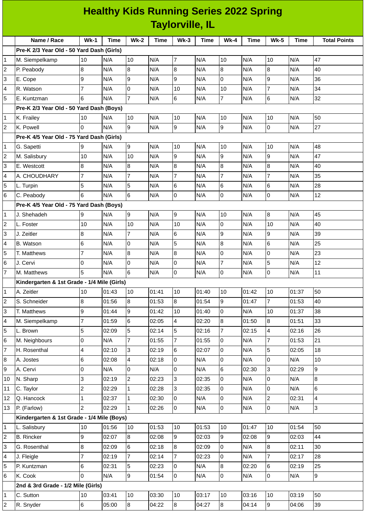| <b>Healthy Kids Running Series 2022 Spring</b> |  |  |  |  |  |  |  |  |
|------------------------------------------------|--|--|--|--|--|--|--|--|
| <b>Taylorville, IL</b>                         |  |  |  |  |  |  |  |  |

|                         | Name / Race                                 | <b>Wk-1</b>    | Time  | $Wk-2$         | Time  | <b>Wk-3</b>     | Time  | <b>Wk-4</b>    | Time  | <b>Wk-5</b>    | Time  | <b>Total Points</b> |
|-------------------------|---------------------------------------------|----------------|-------|----------------|-------|-----------------|-------|----------------|-------|----------------|-------|---------------------|
|                         | Pre-K 2/3 Year Old - 50 Yard Dash (Girls)   |                |       |                |       |                 |       |                |       |                |       |                     |
| 1                       | M. Siempelkamp                              | 10             | N/A   | 10             | N/A   | $\overline{7}$  | N/A   | 10             | N/A   | 10             | N/A   | 47                  |
| 2                       | P. Peabody                                  | 8              | N/A   | 8              | N/A   | 8               | N/A   | 8              | N/A   | 8              | N/A   | 40                  |
| 3                       | E. Cope                                     | 9              | N/A   | 9              | N/A   | 9               | N/A   | $\overline{0}$ | N/A   | 9              | N/A   | 36                  |
| 4                       | R. Watson                                   | $\overline{7}$ | N/A   | 0              | N/A   | 10              | N/A   | 10             | N/A   | $\overline{7}$ | N/A   | 34                  |
| 5                       | E. Kuntzman                                 | 6              | N/A   | $\overline{7}$ | N/A   | $6\overline{6}$ | N/A   | $\overline{7}$ | N/A   | 6              | N/A   | 32                  |
|                         | Pre-K 2/3 Year Old - 50 Yard Dash (Boys)    |                |       |                |       |                 |       |                |       |                |       |                     |
| 1                       | K. Frailey                                  | 10             | N/A   | 10             | N/A   | 10              | N/A   | 10             | N/A   | $10\,$         | N/A   | 50                  |
| $\overline{c}$          | K. Powell                                   | <sup>o</sup>   | N/A   | 9              | N/A   | 9               | N/A   | 9              | N/A   | 0              | N/A   | 27                  |
|                         | Pre-K 4/5 Year Old - 75 Yard Dash (Girls)   |                |       |                |       |                 |       |                |       |                |       |                     |
| 1                       | G. Sapetti                                  | 9              | N/A   | 9              | N/A   | 10              | N/A   | 10             | N/A   | 10             | N/A   | 48                  |
| $\overline{\mathbf{c}}$ | M. Salisbury                                | 10             | N/A   | 10             | N/A   | 9               | N/A   | 9              | N/A   | 9              | N/A   | 47                  |
| 3                       | E. Westcott                                 | 8              | N/A   | 8              | N/A   | 8               | N/A   | 8              | N/A   | 8              | N/A   | 40                  |
| 4                       | A. CHOUDHARY                                | $\overline{7}$ | N/A   | $\overline{7}$ | N/A   | $\overline{7}$  | N/A   | $\overline{7}$ | N/A   | $\overline{7}$ | N/A   | 35                  |
| 5                       | L. Turpin                                   | 5              | N/A   | 5              | N/A   | 6               | N/A   | 6              | N/A   | 6              | N/A   | 28                  |
| 6                       | C. Peabody                                  | 6              | N/A   | 6              | N/A   | 0               | N/A   | $\mathsf 0$    | N/A   | 0              | N/A   | 12                  |
|                         | Pre-K 4/5 Year Old - 75 Yard Dash (Boys)    |                |       |                |       |                 |       |                |       |                |       |                     |
| 1                       | J. Shehadeh                                 | 9              | N/A   | 9              | N/A   | 9               | N/A   | 10             | N/A   | 8              | N/A   | 45                  |
| 2                       | L. Foster                                   | 10             | N/A   | 10             | N/A   | 10              | N/A   | 0              | N/A   | 10             | N/A   | 40                  |
| 3                       | J. Zeitler                                  | 8              | N/A   | $\overline{7}$ | N/A   | 6               | N/A   | 9              | N/A   | 9              | N/A   | 39                  |
| 4                       | <b>B.</b> Watson                            | 6              | N/A   | $\overline{0}$ | N/A   | 5               | N/A   | 8              | N/A   | 6              | N/A   | 25                  |
| 5                       | T. Matthews                                 | $\overline{7}$ | N/A   | 8              | N/A   | 8               | N/A   | 0              | N/A   | 0              | N/A   | 23                  |
| 6                       | J. Cervi                                    | 0              | N/A   | 0              | N/A   | $\mathbf 0$     | N/A   | $\overline{7}$ | N/A   | 5              | N/A   | 12                  |
| 7                       | M. Matthews                                 | 5              | N/A   | 6              | N/A   | 0               | N/A   | $\mathsf 0$    | N/A   | 0              | N/A   | $11\,$              |
|                         | Kindergarten & 1st Grade - 1/4 Mile (Girls) |                |       |                |       |                 |       |                |       |                |       |                     |
| 1                       | A. Zeitler                                  | 10             | 01:43 | 10             | 01:41 | 10              | 01:40 | 10             | 01:42 | 10             | 01:37 | 50                  |
| $\overline{c}$          | S. Schneider                                | 8              | 01:56 | 8              | 01:53 | 8               | 01:54 | 9              | 01:47 | $\overline{7}$ | 01:53 | 40                  |
| 3                       | T. Matthews                                 | 9              | 01:44 | 9              | 01:42 | 10              | 01:40 | Iо             | N/A   | 10             | 01:37 | 38                  |
| 4                       | M. Siempelkamp                              | $\overline{7}$ | 01:59 | 6              | 02:05 | 4               | 02:20 | 8              | 01:50 | 8              | 01:51 | 33                  |
| 5                       | L. Brown                                    | 5              | 02:09 | 5              | 02:14 | 5               | 02:16 | $\overline{7}$ | 02:15 | 4              | 02:16 | 26                  |
| 6                       | M. Neighbours                               | 0              | N/A   | $\overline{7}$ | 01:55 | $\overline{7}$  | 01:55 | 0              | N/A   | $\overline{7}$ | 01:53 | 21                  |
| 7                       | H. Rosenthal                                | 4              | 02:10 | $\overline{3}$ | 02:19 | 6               | 02:07 | $\overline{0}$ | N/A   | 5              | 02:05 | 18                  |
| 8                       | A. Jostes                                   | $6\phantom{a}$ | 02:08 | 4              | 02:18 | 0               | N/A   | 0              | N/A   | $\mathbf 0$    | N/A   | 10                  |
| 9                       | A. Cervi                                    | 0              | N/A   | $\overline{0}$ | N/A   | $\overline{0}$  | N/A   | 6              | 02:30 | 3              | 02:29 | 9                   |
| 10                      | N. Sharp                                    | 3              | 02:19 | $\overline{c}$ | 02:23 | 3               | 02:35 | 0              | N/A   | 0              | N/A   | 8                   |
| 11                      | C. Taylor                                   | $\overline{c}$ | 02:29 | $\mathbf{1}$   | 02:28 | 3               | 02:35 | $\mathsf 0$    | N/A   | 0              | N/A   | 6                   |
| 12                      | Q. Hancock                                  | $\mathbf{1}$   | 02:37 | $\mathbf{1}$   | 02:30 | 0               | N/A   | 0              | N/A   | $\overline{c}$ | 02:31 | 4                   |
| 13                      | P. (Farlow)                                 | $\overline{2}$ | 02:29 | $\mathbf{1}$   | 02:26 | 0               | N/A   | 0              | N/A   | 0              | N/A   | 3                   |
|                         | Kindergarten & 1st Grade - 1/4 Mile (Boys)  |                |       |                |       |                 |       |                |       |                |       |                     |
| 1                       | L. Salisbury                                | 10             | 01:56 | 10             | 01:53 | 10              | 01:53 | 10             | 01:47 | $10\,$         | 01:54 | 50                  |
| 2                       | <b>B.</b> Rincker                           | 9              | 02:07 | $\bf{8}$       | 02:08 | 9               | 02:03 | 9              | 02:08 | 9              | 02:03 | 44                  |
| 3                       | G. Rosenthal                                | 8              | 02:09 | 6              | 02:18 | 8               | 02:09 | $\mathsf 0$    | N/A   | 8              | 02:11 | 30                  |
| 4                       | J. Fleigle                                  | $\overline{7}$ | 02:19 | $\overline{7}$ | 02:14 | 7               | 02:23 | 0              | N/A   | $\overline{7}$ | 02:17 | 28                  |
| 5                       | P. Kuntzman                                 | $\,6$          | 02:31 | 5              | 02:23 | 0               | N/A   | 8              | 02:20 | 6              | 02:19 | 25                  |
| 6                       | K. Cook                                     | 0              | N/A   | $\overline{9}$ | 01:54 | $\overline{0}$  | N/A   | $\overline{0}$ | N/A   | 0              | N/A   | 9                   |
|                         | 2nd & 3rd Grade - 1/2 Mile (Girls)          |                |       |                |       |                 |       |                |       |                |       |                     |
| 1                       | C. Sutton                                   | 10             | 03:41 | 10             | 03:30 | 10              | 03:17 | $10\,$         | 03:16 | 10             | 03:19 | 50                  |
| 2                       | R. Snyder                                   | $6\phantom{a}$ | 05:00 | $8\phantom{.}$ | 04:22 | $8\phantom{.}$  | 04:27 | $\bf{8}$       | 04:14 | 9              | 04:06 | 39                  |
|                         |                                             |                |       |                |       |                 |       |                |       |                |       |                     |